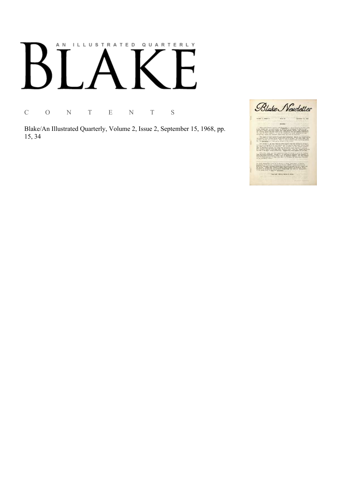## AN ILLUSTRATED QUARTERLY

C O N T E N T S

Blake/An Illustrated Quarterly, Volume 2, Issue 2, September 15, 1968, pp. 15, 34

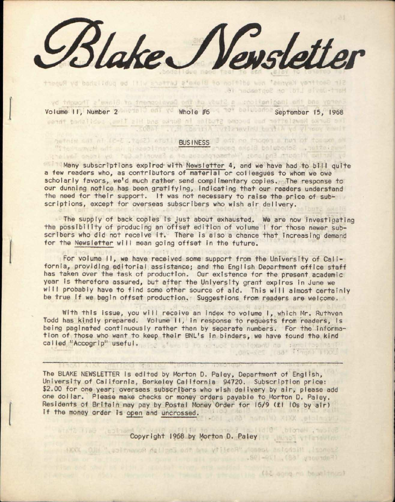*&bke\*J\/e»sletter* 

Volume II, Number 2 Mai Volume #6 September 15, 1968

Fontay and the imaginalians a Study of the Oavelopenent of Slake's Thought by The Burke Newsletter had bucome studies in Burke and His Time, solitant these

SOBAT ... BasiriA etlenevinu bettiA yd ylnewy emult

Sir Geoffrey Kupasi nun edifice of Bloketa uniting upd be published by Rupert

Nari-Davis Ltd. on September 16.

Lowver Isa Thou Hood

## methin sat ni (2-2 .tgs2) Atuti <mark>BUSINESS</mark> adt no tacqea a nua of togaxe aw<br>"The man schedule ballong energy and the papers in the Hampshire of the contract of the contract of the paper

Many subscriptions expired with Newsletter 4, and we have had to bill quite a few readers who, as contributors of material or colleagues to whom we owe scholarly favors, we'd much rather send complimentary copies. The response to our dunning notice has been gratifying, indicating that our readers understand the need for their support. It was not necessary to raise the price of subscriptions, except for overseas subscribers who wish air delivery.

The supply of back copies is just about exhausted. We are now investigating the possibility of producing an offset edition of volume I for those newer subscribers who did not receive it. There is also a chance that increasing demand for the Newsletter will mean going offset in the future.

For volume II, we have received some support from the University of California, providing editorial assistance; and the English Department office staff has taken over the task of production. Our existence for the present academic year is therefore assured, but after the University grant expires in June we will probably have to find some other source of aid. This will almost certainly be true If we begin offset production. Suggestions from readers are welcome.

With this Issue, you will receive an Index to volume I, which Mr. Ruthven Todd has kindly prepared. Volume II, in response to requests from readers, Is being paginated continuously rather than by separate numbers. For the information of those who want to keep their BNL's In binders, we have found the kind called "Accogrip" useful.

The BLAKE NEWSLETTER Is edited by Morton D. Paley, Department of English, University of California, Berkeley California 94720. Subscription price: \$2.00 for one year; overseas subscribers who wish delivery by air, please add one dollar. Please make checks or money orders payable to Morton D. Paley. Residents of Britain may pay by Postal Money Order for 16/9 (£1 10s by air) If the money order Is open and uncrossed. a hotniw) xixx sisingul

Copyright 1968 by Morton D. Paley

HXXX OJH ", aplinance delips ant bas villees" deseat asigdoin , homot?

Photos auffitu to ponus to lidie" blones , moloc

be the the of presence (AC ogna no boundinum)

(Fabruary 168), ISB-1981, (application